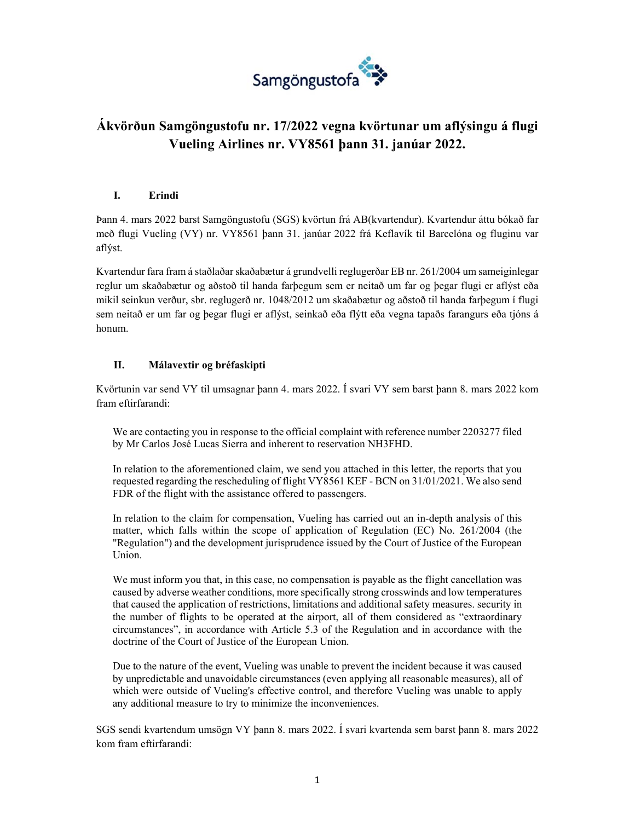

# **Ákvörðun Samgöngustofu nr. 17/2022 vegna kvörtunar um aflýsingu á flugi Vueling Airlines nr. VY8561 þann 31. janúar 2022.**

#### **I. Erindi**

Þann 4. mars 2022 barst Samgöngustofu (SGS) kvörtun frá AB(kvartendur). Kvartendur áttu bókað far með flugi Vueling (VY) nr. VY8561 þann 31. janúar 2022 frá Keflavík til Barcelóna og fluginu var aflýst.

Kvartendur fara fram á staðlaðar skaðabætur á grundvelli reglugerðar EB nr. 261/2004 um sameiginlegar reglur um skaðabætur og aðstoð til handa farþegum sem er neitað um far og þegar flugi er aflýst eða mikil seinkun verður, sbr. reglugerð nr. 1048/2012 um skaðabætur og aðstoð til handa farþegum í flugi sem neitað er um far og þegar flugi er aflýst, seinkað eða flýtt eða vegna tapaðs farangurs eða tjóns á honum.

### **II. Málavextir og bréfaskipti**

Kvörtunin var send VY til umsagnar þann 4. mars 2022. Í svari VY sem barst þann 8. mars 2022 kom fram eftirfarandi:

We are contacting you in response to the official complaint with reference number 2203277 filed by Mr Carlos José Lucas Sierra and inherent to reservation NH3FHD.

In relation to the aforementioned claim, we send you attached in this letter, the reports that you requested regarding the rescheduling of flight VY8561 KEF - BCN on 31/01/2021. We also send FDR of the flight with the assistance offered to passengers.

In relation to the claim for compensation, Vueling has carried out an in-depth analysis of this matter, which falls within the scope of application of Regulation (EC) No. 261/2004 (the "Regulation") and the development jurisprudence issued by the Court of Justice of the European Union.

We must inform you that, in this case, no compensation is payable as the flight cancellation was caused by adverse weather conditions, more specifically strong crosswinds and low temperatures that caused the application of restrictions, limitations and additional safety measures. security in the number of flights to be operated at the airport, all of them considered as "extraordinary circumstances", in accordance with Article 5.3 of the Regulation and in accordance with the doctrine of the Court of Justice of the European Union.

Due to the nature of the event, Vueling was unable to prevent the incident because it was caused by unpredictable and unavoidable circumstances (even applying all reasonable measures), all of which were outside of Vueling's effective control, and therefore Vueling was unable to apply any additional measure to try to minimize the inconveniences.

SGS sendi kvartendum umsögn VY þann 8. mars 2022. Í svari kvartenda sem barst þann 8. mars 2022 kom fram eftirfarandi: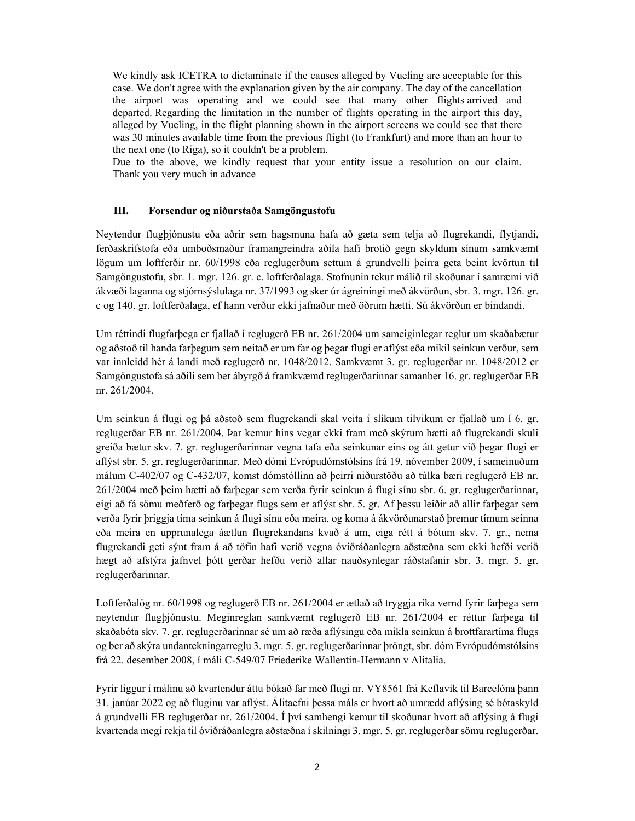We kindly ask ICETRA to dictaminate if the causes alleged by Vueling are acceptable for this case. We don't agree with the explanation given by the air company. The day of the cancellation the airport was operating and we could see that many other flights arrived and departed. Regarding the limitation in the number of flights operating in the airport this day, alleged by Vueling, in the flight planning shown in the airport screens we could see that there was 30 minutes available time from the previous flight (to Frankfurt) and more than an hour to the next one (to Riga), so it couldn't be a problem.

Due to the above, we kindly request that your entity issue a resolution on our claim. Thank you very much in advance

#### **III. Forsendur og niðurstaða Samgöngustofu**

Neytendur flugþjónustu eða aðrir sem hagsmuna hafa að gæta sem telja að flugrekandi, flytjandi, ferðaskrifstofa eða umboðsmaður framangreindra aðila hafi brotið gegn skyldum sínum samkvæmt lögum um loftferðir nr. 60/1998 eða reglugerðum settum á grundvelli þeirra geta beint kvörtun til Samgöngustofu, sbr. 1. mgr. 126. gr. c. loftferðalaga. Stofnunin tekur málið til skoðunar í samræmi við ákvæði laganna og stjórnsýslulaga nr. 37/1993 og sker úr ágreiningi með ákvörðun, sbr. 3. mgr. 126. gr. c og 140. gr. loftferðalaga, ef hann verður ekki jafnaður með öðrum hætti. Sú ákvörðun er bindandi.

Um réttindi flugfarþega er fjallað í reglugerð EB nr. 261/2004 um sameiginlegar reglur um skaðabætur og aðstoð til handa farþegum sem neitað er um far og þegar flugi er aflýst eða mikil seinkun verður, sem var innleidd hér á landi með reglugerð nr. 1048/2012. Samkvæmt 3. gr. reglugerðar nr. 1048/2012 er Samgöngustofa sá aðili sem ber ábyrgð á framkvæmd reglugerðarinnar samanber 16. gr. reglugerðar EB nr. 261/2004.

Um seinkun á flugi og þá aðstoð sem flugrekandi skal veita í slíkum tilvikum er fjallað um í 6. gr. reglugerðar EB nr. 261/2004. Þar kemur hins vegar ekki fram með skýrum hætti að flugrekandi skuli greiða bætur skv. 7. gr. reglugerðarinnar vegna tafa eða seinkunar eins og átt getur við þegar flugi er aflýst sbr. 5. gr. reglugerðarinnar. Með dómi Evrópudómstólsins frá 19. nóvember 2009, í sameinuðum málum C-402/07 og C-432/07, komst dómstóllinn að þeirri niðurstöðu að túlka bæri reglugerð EB nr. 261/2004 með þeim hætti að farþegar sem verða fyrir seinkun á flugi sínu sbr. 6. gr. reglugerðarinnar, eigi að fá sömu meðferð og farþegar flugs sem er aflýst sbr. 5. gr. Af þessu leiðir að allir farþegar sem verða fyrir þriggja tíma seinkun á flugi sínu eða meira, og koma á ákvörðunarstað þremur tímum seinna eða meira en upprunalega áætlun flugrekandans kvað á um, eiga rétt á bótum skv. 7. gr., nema flugrekandi geti sýnt fram á að töfin hafi verið vegna óviðráðanlegra aðstæðna sem ekki hefði verið hægt að afstýra jafnvel þótt gerðar hefðu verið allar nauðsynlegar ráðstafanir sbr. 3. mgr. 5. gr. reglugerðarinnar.

Loftferðalög nr. 60/1998 og reglugerð EB nr. 261/2004 er ætlað að tryggja ríka vernd fyrir farþega sem neytendur flugþjónustu. Meginreglan samkvæmt reglugerð EB nr. 261/2004 er réttur farþega til skaðabóta skv. 7. gr. reglugerðarinnar sé um að ræða aflýsingu eða mikla seinkun á brottfarartíma flugs og ber að skýra undantekningarreglu 3. mgr. 5. gr. reglugerðarinnar þröngt, sbr. dóm Evrópudómstólsins frá 22. desember 2008, í máli C-549/07 Friederike Wallentin-Hermann v Alitalia.

Fyrir liggur í málinu að kvartendur áttu bókað far með flugi nr. VY8561 frá Keflavík til Barcelóna þann 31. janúar 2022 og að fluginu var aflýst. Álitaefni þessa máls er hvort að umrædd aflýsing sé bótaskyld á grundvelli EB reglugerðar nr. 261/2004. Í því samhengi kemur til skoðunar hvort að aflýsing á flugi kvartenda megi rekja til óviðráðanlegra aðstæðna í skilningi 3. mgr. 5. gr. reglugerðar sömu reglugerðar.